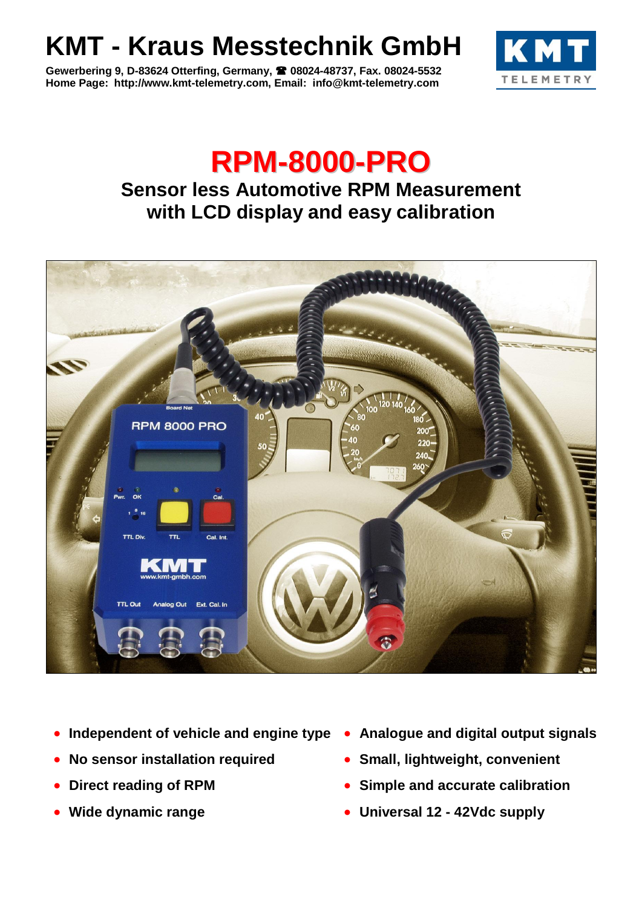## **KMT - Kraus Messtechnik GmbH**

**Gewerbering 9, D-83624 Otterfing, Germany, 08024-48737, Fax. 08024-5532 Home Page: http://www.kmt-telemetry.com, Email: info@kmt-telemetry.com**



## **RPM-8000-PRO**

## **Sensor less Automotive RPM Measurement with LCD display and easy calibration**



- **Independent of vehicle and engine type Analogue and digital output signals**
- **No sensor installation required**
- **Direct reading of RPM**
- **Wide dynamic range**
- 
- **Small, lightweight, convenient**
- **Simple and accurate calibration**
- **Universal 12 - 42Vdc supply**